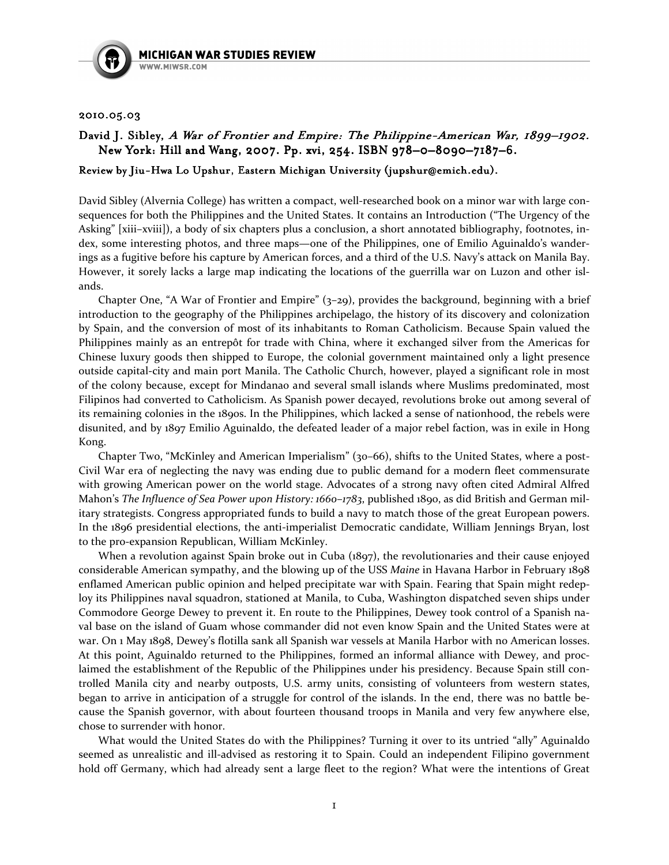

## 2010.05.03 2010.05.03

## David J. Sibley, A War of Frontier and Empire: The Philippine-American War, 1899–1902. New York: Hill and Wang, 2007. Pp. xvi, 254. ISBN 978–0–8090–7187–6.

## Review by Jiu-Hwa Lo Upshur, Eastern Michigan University (jupshur@emich. edu).

David Sibley (Alvernia College) has written a compact, well-researched book on a minor war with large consequences for both the Philippines and the United States. It contains an Introduction ("The Urgency of the Asking" [xiii–xviii]), a body of six chapters plus a conclusion, a short annotated bibliography, footnotes, index, some interesting photos, and three maps—one of the Philippines, one of Emilio Aguinaldo's wanderings as a fugitive before his capture by American forces, and a third of the U.S. Navy's attack on Manila Bay. However, it sorely lacks a large map indicating the locations of the guerrilla war on Luzon and other islands.

Chapter One, "A War of Frontier and Empire" (3–29), provides the background, beginning with a brief introduction to the geography of the Philippines archipelago, the history of its discovery and colonization by Spain, and the conversion of most of its inhabitants to Roman Catholicism. Because Spain valued the Philippines mainly as an entrepôt for trade with China, where it exchanged silver from the Americas for Chinese luxury goods then shipped to Europe, the colonial government maintained only a light presence outside capital-city and main port Manila. The Catholic Church, however, played a significant role in most of the colony because, except for Mindanao and several small islands where Muslims predominated, most Filipinos had converted to Catholicism. As Spanish power decayed, revolutions broke out among several of its remaining colonies in the 1890s. In the Philippines, which lacked a sense of nationhood, the rebels were disunited, and by 1897 Emilio Aguinaldo, the defeated leader of a major rebel faction, was in exile in Hong Kong.

Chapter Two, "McKinley and American Imperialism" (30–66), shifts to the United States, where a post-Civil War era of neglecting the navy was ending due to public demand for a modern fleet commensurate with growing American power on the world stage. Advocates of a strong navy often cited Admiral Alfred Mahon's The Influence of Sea Power upon History: 1660–1783, published 1890, as did British and German military strategists. Congress appropriated funds to build a navy to match those of the great European powers. In the 1896 presidential elections, the anti-imperialist Democratic candidate, William Jennings Bryan, lost to the pro-expansion Republican, William McKinley.

When a revolution against Spain broke out in Cuba (1897), the revolutionaries and their cause enjoyed considerable American sympathy, and the blowing up of the USS Maine in Havana Harbor in February 1898 enflamed American public opinion and helped precipitate war with Spain. Fearing that Spain might redeploy its Philippines naval squadron, stationed at Manila, to Cuba, Washington dispatched seven ships under Commodore George Dewey to prevent it. En route to the Philippines, Dewey took control of a Spanish naval base on the island of Guam whose commander did not even know Spain and the United States were at war. On 1 May 1898, Dewey's flotilla sank all Spanish war vessels at Manila Harbor with no American losses. At this point, Aguinaldo returned to the Philippines, formed an informal alliance with Dewey, and proclaimed the establishment of the Republic of the Philippines under his presidency. Because Spain still controlled Manila city and nearby outposts, U.S. army units, consisting of volunteers from western states, began to arrive in anticipation of a struggle for control of the islands. In the end, there was no battle because the Spanish governor, with about fourteen thousand troops in Manila and very few anywhere else, chose to surrender with honor.

What would the United States do with the Philippines? Turning it over to its untried "ally" Aguinaldo seemed as unrealistic and ill-advised as restoring it to Spain. Could an independent Filipino government hold off Germany, which had already sent a large fleet to the region? What were the intentions of Great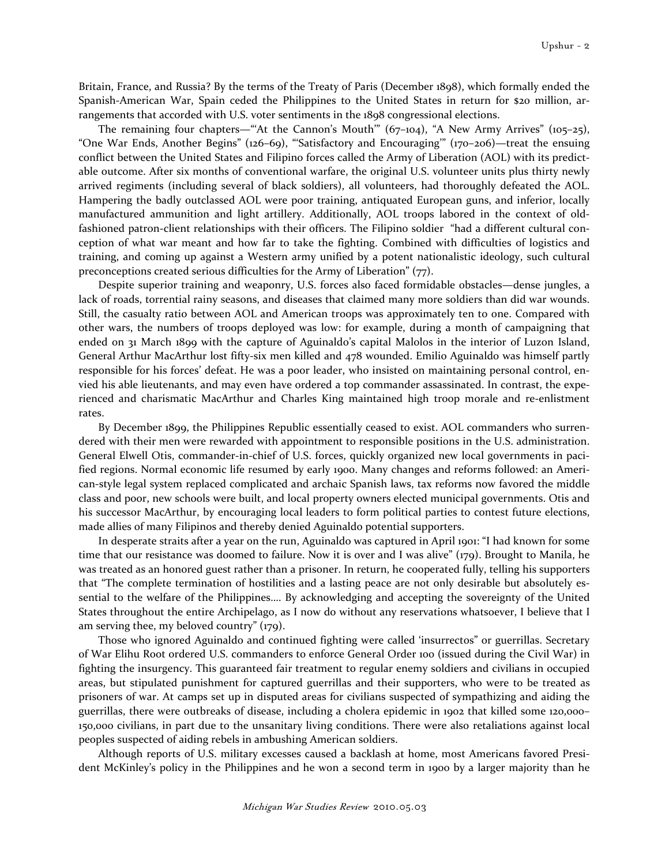Britain, France, and Russia? By the terms of the Treaty of Paris (December 1898), which formally ended the Spanish-American War, Spain ceded the Philippines to the United States in return for \$20 million, arrangements that accorded with U.S. voter sentiments in the 1898 congressional elections.

The remaining four chapters—"'At the Cannon's Mouth'"  $(67-104)$ , "A New Army Arrives"  $(105-25)$ , "One War Ends, Another Begins" (126–69), "'Satisfactory and Encouraging'" (170–206)—treat the ensuing conflict between the United States and Filipino forces called the Army of Liberation (AOL) with its predictable outcome. After six months of conventional warfare, the original U.S. volunteer units plus thirty newly arrived regiments (including several of black soldiers), all volunteers, had thoroughly defeated the AOL. Hampering the badly outclassed AOL were poor training, antiquated European guns, and inferior, locally manufactured ammunition and light artillery. Additionally, AOL troops labored in the context of oldfashioned patron-client relationships with their officers. The Filipino soldier "had a different cultural conception of what war meant and how far to take the fighting. Combined with difficulties of logistics and training, and coming up against a Western army unified by a potent nationalistic ideology, such cultural preconceptions created serious difficulties for the Army of Liberation" (77).

Despite superior training and weaponry, U.S. forces also faced formidable obstacles—dense jungles, a lack of roads, torrential rainy seasons, and diseases that claimed many more soldiers than did war wounds. Still, the casualty ratio between AOL and American troops was approximately ten to one. Compared with other wars, the numbers of troops deployed was low: for example, during a month of campaigning that ended on 31 March 1899 with the capture of Aguinaldo's capital Malolos in the interior of Luzon Island, General Arthur MacArthur lost fifty-six men killed and 478 wounded. Emilio Aguinaldo was himself partly responsible for his forces' defeat. He was a poor leader, who insisted on maintaining personal control, envied his able lieutenants, and may even have ordered a top commander assassinated. In contrast, the experienced and charismatic MacArthur and Charles King maintained high troop morale and re-enlistment rates.

By December 1899, the Philippines Republic essentially ceased to exist. AOL commanders who surrendered with their men were rewarded with appointment to responsible positions in the U.S. administration. General Elwell Otis, commander-in-chief of U.S. forces, quickly organized new local governments in pacified regions. Normal economic life resumed by early 1900. Many changes and reforms followed: an American-style legal system replaced complicated and archaic Spanish laws, tax reforms now favored the middle class and poor, new schools were built, and local property owners elected municipal governments. Otis and his successor MacArthur, by encouraging local leaders to form political parties to contest future elections, made allies of many Filipinos and thereby denied Aguinaldo potential supporters.

In desperate straits after a year on the run, Aguinaldo was captured in April 1901: "I had known for some time that our resistance was doomed to failure. Now it is over and I was alive" (179). Brought to Manila, he was treated as an honored guest rather than a prisoner. In return, he cooperated fully, telling his supporters that "The complete termination of hostilities and a lasting peace are not only desirable but absolutely essential to the welfare of the Philippines…. By acknowledging and accepting the sovereignty of the United States throughout the entire Archipelago, as I now do without any reservations whatsoever, I believe that I am serving thee, my beloved country" (179).

Those who ignored Aguinaldo and continued fighting were called 'insurrectos" or guerrillas. Secretary of War Elihu Root ordered U.S. commanders to enforce General Order 100 (issued during the Civil War) in fighting the insurgency. This guaranteed fair treatment to regular enemy soldiers and civilians in occupied areas, but stipulated punishment for captured guerrillas and their supporters, who were to be treated as prisoners of war. At camps set up in disputed areas for civilians suspected of sympathizing and aiding the guerrillas, there were outbreaks of disease, including a cholera epidemic in 1902 that killed some 120,000– 150,000 civilians, in part due to the unsanitary living conditions. There were also retaliations against local peoples suspected of aiding rebels in ambushing American soldiers.

Although reports of U.S. military excesses caused a backlash at home, most Americans favored President McKinley's policy in the Philippines and he won a second term in 1900 by a larger majority than he